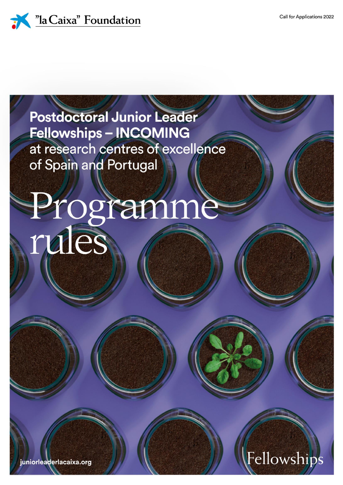Fellowships



# **Postdoctoral Junior Leader Fellowships - INCOMING** at research centres of excellence of Spain and Portugal

# Programme<br>rules

juniorleaderlacaixa.org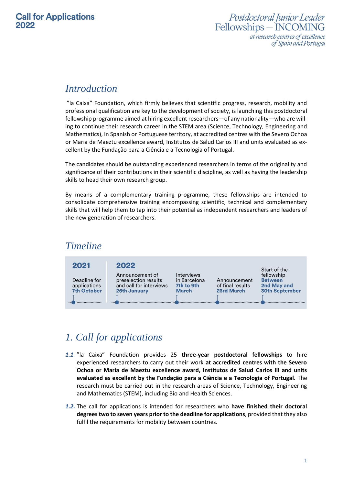### *Introduction*

"la Caixa" Foundation, which firmly believes that scientific progress, research, mobility and professional qualification are key to the development of society, is launching this postdoctoral fellowship programme aimed at hiring excellent researchers—of any nationality—who are willing to continue their research career in the STEM area (Science, Technology, Engineering and Mathematics), in Spanish or Portuguese territory, at accredited centres with the Severo Ochoa or Maria de Maeztu excellence award, Institutos de Salud Carlos III and units evaluated as excellent by the Fundação para a Ciência e a Tecnologia of Portugal.

The candidates should be outstanding experienced researchers in terms of the originality and significance of their contributions in their scientific discipline, as well as having the leadership skills to head their own research group.

By means of a complementary training programme, these fellowships are intended to consolidate comprehensive training encompassing scientific, technical and complementary skills that will help them to tap into their potential as independent researchers and leaders of the new generation of researchers.

### *Timeline*



# *1. Call for applications*

- *1.1.* "la Caixa" Foundation provides 25 **three-year postdoctoral fellowships** to hire experienced researchers to carry out their work **at accredited centres with the Severo Ochoa or María de Maeztu excellence award, Institutos de Salud Carlos III and units evaluated as excellent by the Fundação para a Ciência e a Tecnologia of Portugal.** The research must be carried out in the research areas of Science, Technology, Engineering and Mathematics (STEM), including Bio and Health Sciences.
- *1.2.* The call for applications is intended for researchers who **have finished their doctoral degrees two to seven years prior to the deadline for applications**, provided that they also fulfil the requirements for mobility between countries.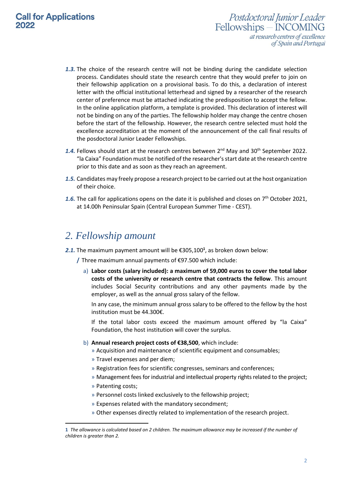- Postdoctoral Junior Leader Fellowships - INCOMING at research centres of excellence of Spain and Portugal
- *1.3.* The choice of the research centre will not be binding during the candidate selection process. Candidates should state the research centre that they would prefer to join on their fellowship application on a provisional basis. To do this, a declaration of interest letter with the official institutional letterhead and signed by a researcher of the research center of preference must be attached indicating the predisposition to accept the fellow. In the online application platform, a template is provided. This declaration of interest will not be binding on any of the parties. The fellowship holder may change the centre chosen before the start of the fellowship. However, the research centre selected must hold the excellence accreditation at the moment of the announcement of the call final results of the posdoctoral Junior Leader Fellowships.
- 1.4. Fellows should start at the research centres between 2<sup>nd</sup> May and 30<sup>th</sup> September 2022. "la Caixa" Foundation must be notified of the researcher's start date at the research centre prior to this date and as soon as they reach an agreement.
- *1.5.* Candidates may freely propose a research project to be carried out at the host organization of their choice.
- 1.6. The call for applications opens on the date it is published and closes on 7<sup>th</sup> October 2021, at 14.00h Peninsular Spain (Central European Summer Time - CEST).

### *2. Fellowship amount*

*2.1.* The maximum payment amount will be €305,100**<sup>1</sup>** , as broken down below:

**/** Three maximum annual payments of €97.500 which include:

a) **Labor costs (salary included): a maximum of 59,000 euros to cover the total labor costs of the university or research centre that contracts the fellow**. This amount includes Social Security contributions and any other payments made by the employer, as well as the annual gross salary of the fellow.

In any case, the minimum annual gross salary to be offered to the fellow by the host institution must be 44.300€.

If the total labor costs exceed the maximum amount offered by "la Caixa" Foundation, the host institution will cover the surplus.

- b) **Annual research project costs of €38,500**, which include:
	- » Acquisition and maintenance of scientific equipment and consumables;
	- » Travel expenses and per diem;
	- » Registration fees for scientific congresses, seminars and conferences;
	- » Management fees for industrial and intellectual property rights related to the project;
	- » Patenting costs;

 $\overline{a}$ 

- » Personnel costs linked exclusively to the fellowship project;
- » Expenses related with the mandatory secondment;
- » Other expenses directly related to implementation of the research project.

**<sup>1</sup>** *The allowance is calculated based on 2 children. The maximum allowance may be increased if the number of children is greater than 2.*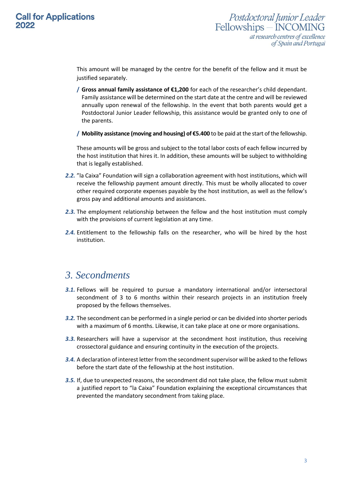This amount will be managed by the centre for the benefit of the fellow and it must be justified separately.

- **/ Gross annual family assistance of €1,200** for each of the researcher's child dependant. Family assistance will be determined on the start date at the centre and will be reviewed annually upon renewal of the fellowship. In the event that both parents would get a Postdoctoral Junior Leader fellowship, this assistance would be granted only to one of the parents.
- **/ Mobility assistance (moving and housing) of €5.400** to be paid at the start of the fellowship.

These amounts will be gross and subject to the total labor costs of each fellow incurred by the host institution that hires it. In addition, these amounts will be subject to withholding that is legally established.

- *2.2.* "la Caixa" Foundation will sign a collaboration agreement with host institutions, which will receive the fellowship payment amount directly. This must be wholly allocated to cover other required corporate expenses payable by the host institution, as well as the fellow's gross pay and additional amounts and assistances.
- *2.3.* The employment relationship between the fellow and the host institution must comply with the provisions of current legislation at any time.
- *2.4.* Entitlement to the fellowship falls on the researcher, who will be hired by the host institution.

### *3. Secondments*

- *3.1.* Fellows will be required to pursue a mandatory international and/or intersectoral secondment of 3 to 6 months within their research projects in an institution freely proposed by the fellows themselves.
- *3.2.* The secondment can be performed in a single period or can be divided into shorter periods with a maximum of 6 months. Likewise, it can take place at one or more organisations.
- *3.3.* Researchers will have a supervisor at the secondment host institution, thus receiving crossectoral guidance and ensuring continuity in the execution of the projects.
- *3.4.* A declaration of interest letter from the secondment supervisor will be asked to the fellows before the start date of the fellowship at the host institution.
- *3.5.* If, due to unexpected reasons, the secondment did not take place, the fellow must submit a justified report to "la Caixa" Foundation explaining the exceptional circumstances that prevented the mandatory secondment from taking place.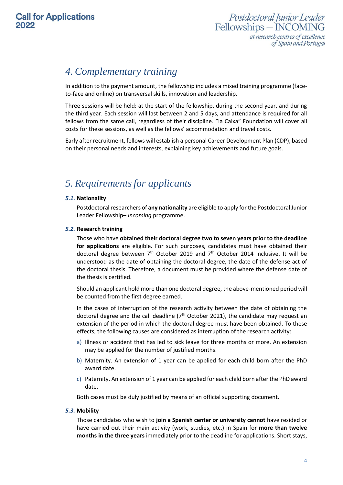# *4. Complementary training*

In addition to the payment amount, the fellowship includes a mixed training programme (faceto-face and online) on transversal skills, innovation and leadership.

Three sessions will be held: at the start of the fellowship, during the second year, and during the third year. Each session will last between 2 and 5 days, and attendance is required for all fellows from the same call, regardless of their discipline. "la Caixa" Foundation will cover all costs for these sessions, as well as the fellows' accommodation and travel costs.

Early after recruitment, fellows will establish a personal Career Development Plan (CDP), based on their personal needs and interests, explaining key achievements and future goals.

# *5. Requirementsfor applicants*

### *5.1.* **Nationality**

Postdoctoral researchers of **any nationality** are eligible to apply for the Postdoctoral Junior Leader Fellowship– *Incoming* programme.

### *5.2.* **Research training**

Those who have **obtained their doctoral degree two to seven years prior to the deadline for applications** are eligible. For such purposes, candidates must have obtained their doctoral degree between  $7<sup>th</sup>$  October 2019 and  $7<sup>th</sup>$  October 2014 inclusive. It will be understood as the date of obtaining the doctoral degree, the date of the defense act of the doctoral thesis. Therefore, a document must be provided where the defense date of the thesis is certified.

Should an applicant hold more than one doctoral degree, the above-mentioned period will be counted from the first degree earned.

In the cases of interruption of the research activity between the date of obtaining the doctoral degree and the call deadline  $(7<sup>th</sup>$  October 2021), the candidate may request an extension of the period in which the doctoral degree must have been obtained. To these effects, the following causes are considered as interruption of the research activity:

- a) Illness or accident that has led to sick leave for three months or more. An extension may be applied for the number of justified months.
- b) Maternity. An extension of 1 year can be applied for each child born after the PhD award date.
- c) Paternity. An extension of 1 year can be applied for each child born after the PhD award date.

Both cases must be duly justified by means of an official supporting document.

### *5.3.* **Mobility**

Those candidates who wish to **join a Spanish center or university cannot** have resided or have carried out their main activity (work, studies, etc.) in Spain for **more than twelve months in the three years** immediately prior to the deadline for applications. Short stays,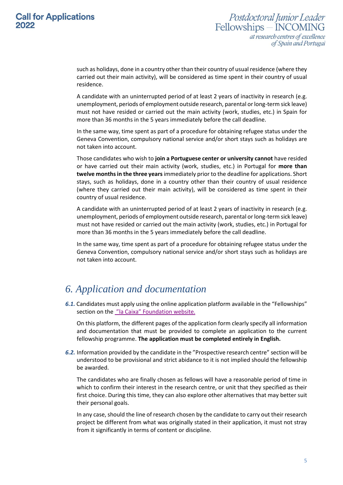such as holidays, done in a country other than their country of usual residence (where they carried out their main activity), will be considered as time spent in their country of usual residence.

A candidate with an uninterrupted period of at least 2 years of inactivity in research (e.g. unemployment, periods of employment outside research, parental or long-term sick leave) must not have resided or carried out the main activity (work, studies, etc.) in Spain for more than 36 months in the 5 years immediately before the call deadline.

In the same way, time spent as part of a procedure for obtaining refugee status under the Geneva Convention, compulsory national service and/or short stays such as holidays are not taken into account.

Those candidates who wish to **join a Portuguese center or university cannot** have resided or have carried out their main activity (work, studies, etc.) in Portugal for **more than twelve months in the three years** immediately prior to the deadline for applications. Short stays, such as holidays, done in a country other than their country of usual residence (where they carried out their main activity), will be considered as time spent in their country of usual residence.

A candidate with an uninterrupted period of at least 2 years of inactivity in research (e.g. unemployment, periods of employment outside research, parental or long-term sick leave) must not have resided or carried out the main activity (work, studies, etc.) in Portugal for more than 36 months in the 5 years immediately before the call deadline.

In the same way, time spent as part of a procedure for obtaining refugee status under the Geneva Convention, compulsory national service and/or short stays such as holidays are not taken into account.

### *6. Application and documentation*

*6.1.* Candidates must apply using the online application platform available in the "Fellowships" section on the "la Caixa" [Foundation](https://www.lacaixafellowships.org/index.aspx) website.

On this platform, the different pages of the application form clearly specify all information and documentation that must be provided to complete an application to the current fellowship programme. **The application must be completed entirely in English.**

*6.2.* Information provided by the candidate in the "Prospective research centre" section will be understood to be provisional and strict abidance to it is not implied should the fellowship be awarded.

The candidates who are finally chosen as fellows will have a reasonable period of time in which to confirm their interest in the research centre, or unit that they specified as their first choice. During this time, they can also explore other alternatives that may better suit their personal goals.

In any case, should the line of research chosen by the candidate to carry out their research project be different from what was originally stated in their application, it must not stray from it significantly in terms of content or discipline.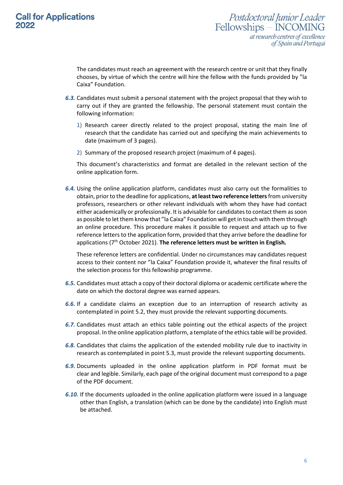Postdoctoral Junior Leader Fellowships - INCOMING at research centres of excellence of Spain and Portugal

The candidates must reach an agreement with the research centre or unit that they finally chooses, by virtue of which the centre will hire the fellow with the funds provided by "la Caixa" Foundation.

- *6.3.* Candidates must submit a personal statement with the project proposal that they wish to carry out if they are granted the fellowship. The personal statement must contain the following information:
	- 1) Research career directly related to the project proposal, stating the main line of research that the candidate has carried out and specifying the main achievements to date (maximum of 3 pages).
	- 2) Summary of the proposed research project (maximum of 4 pages).

This document's characteristics and format are detailed in the relevant section of the online application form.

*6.4.* Using the online application platform, candidates must also carry out the formalities to obtain, prior to the deadline for applications, **at least two reference letters**from university professors, researchers or other relevant individuals with whom they have had contact either academically or professionally. It is advisable for candidates to contact them as soon as possible to let them know that "la Caixa" Foundation will get in touch with them through an online procedure. This procedure makes it possible to request and attach up to five reference letters to the application form, provided that they arrive before the deadline for applications (7<sup>th</sup> October 2021). The reference letters must be written in English.

These reference letters are confidential. Under no circumstances may candidates request access to their content nor "la Caixa" Foundation provide it, whatever the final results of the selection process for this fellowship programme.

- *6.5.* Candidates must attach a copy of their doctoral diploma or academic certificate where the date on which the doctoral degree was earned appears.
- *6.6.* If a candidate claims an exception due to an interruption of research activity as contemplated in point 5.2, they must provide the relevant supporting documents.
- *6.7.* Candidates must attach an ethics table pointing out the ethical aspects of the project proposal. In the online application platform, a template of the ethics table will be provided.
- *6.8.* Candidates that claims the application of the extended mobility rule due to inactivity in research as contemplated in point 5.3, must provide the relevant supporting documents.
- *6.9.* Documents uploaded in the online application platform in PDF format must be clear and legible. Similarly, each page of the original document must correspond to a page of the PDF document.
- *6.10.* If the documents uploaded in the online application platform were issued in a language other than English, a translation (which can be done by the candidate) into English must be attached.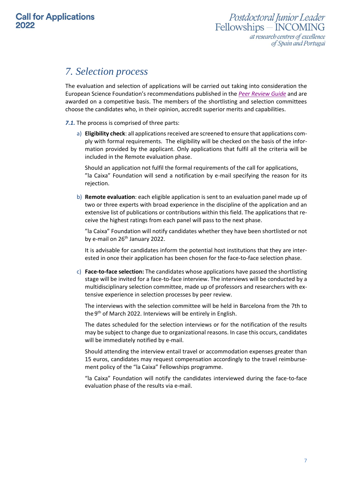## *7. Selection process*

The evaluation and selection of applications will be carried out taking into consideration the European Science Foundation's recommendations published in the *[Peer Review Guide](http://www.esf.org/fileadmin/user_upload/esf/European_Peer_Review_Guide_2011.pdf)* and are awarded on a competitive basis. The members of the shortlisting and selection committees choose the candidates who, in their opinion, accredit superior merits and capabilities.

### *7.1.* The process is comprised of three parts:

a) **Eligibility check**: all applications received are screened to ensure that applications comply with formal requirements. The eligibility will be checked on the basis of the information provided by the applicant. Only applications that fulfil all the criteria will be included in the Remote evaluation phase.

Should an application not fulfil the formal requirements of the call for applications, "la Caixa" Foundation will send a notification by e-mail specifying the reason for its rejection.

b) **Remote evaluation**: each eligible application is sent to an evaluation panel made up of two or three experts with broad experience in the discipline of the application and an extensive list of publications or contributions within this field. The applications that receive the highest ratings from each panel will pass to the next phase.

"la Caixa" Foundation will notify candidates whether they have been shortlisted or not by e-mail on 26<sup>th</sup> January 2022.

It is advisable for candidates inform the potential host institutions that they are interested in once their application has been chosen for the face-to-face selection phase.

c) **Face-to-face selection:** The candidates whose applications have passed the shortlisting stage will be invited for a face-to-face interview. The interviews will be conducted by a multidisciplinary selection committee, made up of professors and researchers with extensive experience in selection processes by peer review.

The interviews with the selection committee will be held in Barcelona from the 7th to the 9<sup>th</sup> of March 2022. Interviews will be entirely in English.

The dates scheduled for the selection interviews or for the notification of the results may be subject to change due to organizational reasons. In case this occurs, candidates will be immediately notified by e-mail.

Should attending the interview entail travel or accommodation expenses greater than 15 euros, candidates may request compensation accordingly to the travel reimbursement policy of the "la Caixa" Fellowships programme.

"la Caixa" Foundation will notify the candidates interviewed during the face-to-face evaluation phase of the results via e-mail.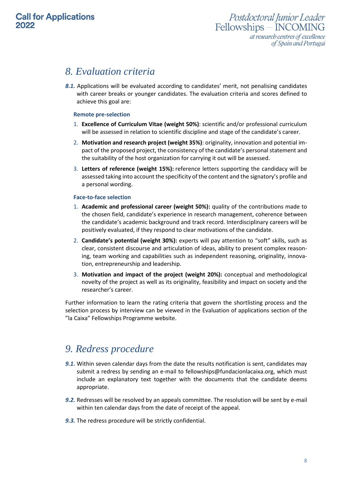### *8. Evaluation criteria*

*8.1.* Applications will be evaluated according to candidates' merit, not penalising candidates with career breaks or younger candidates. The evaluation criteria and scores defined to achieve this goal are:

### **Remote pre-selection**

- 1. **Excellence of Curriculum Vitae (weight 50%)**: scientific and/or professional curriculum will be assessed in relation to scientific discipline and stage of the candidate's career.
- 2. **Motivation and research project (weight 35%)**: originality, innovation and potential impact of the proposed project, the consistency of the candidate's personal statement and the suitability of the host organization for carrying it out will be assessed.
- 3. **Letters of reference (weight 15%):** reference letters supporting the candidacy will be assessed taking into account the specificity of the content and the signatory's profile and a personal wording.

### **Face-to-face selection**

- 1. **Academic and professional career (weight 50%):** quality of the contributions made to the chosen field, candidate's experience in research management, coherence between the candidate's academic background and track record. Interdisciplinary careers will be positively evaluated, if they respond to clear motivations of the candidate.
- 2. **Candidate's potential (weight 30%):** experts will pay attention to "soft" skills, such as clear, consistent discourse and articulation of ideas, ability to present complex reasoning, team working and capabilities such as independent reasoning, originality, innovation, entrepreneurship and leadership.
- 3. **Motivation and impact of the project (weight 20%):** conceptual and methodological novelty of the project as well as its originality, feasibility and impact on society and the researcher's career.

Further information to learn the rating criteria that govern the shortlisting process and the selection process by interview can be viewed in the Evaluation of applications section of the "la Caixa" Fellowships Programme website.

### *9. Redress procedure*

- *9.1.* Within seven calendar days from the date the results notification is sent, candidates may submit a redress by sending an e-mail to [fellowships@fundacionlacaixa.org,](mailto:fellowships@fundacionlacaixa.org) which must include an explanatory text together with the documents that the candidate deems appropriate.
- *9.2.* Redresses will be resolved by an appeals committee. The resolution will be sent by e-mail within ten calendar days from the date of receipt of the appeal.
- *9.3.* The redress procedure will be strictly confidential.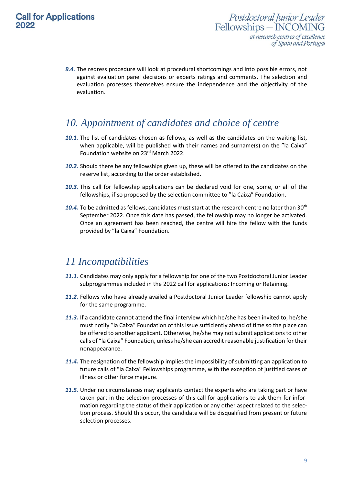*9.4.* The redress procedure will look at procedural shortcomings and into possible errors, not against evaluation panel decisions or experts ratings and comments. The selection and evaluation processes themselves ensure the independence and the objectivity of the evaluation.

### *10. Appointment of candidates and choice of centre*

- *10.1.* The list of candidates chosen as fellows, as well as the candidates on the waiting list, when applicable, will be published with their names and surname(s) on the "la Caixa" Foundation website on 23 rd March 2022.
- *10.2.* Should there be any fellowships given up, these will be offered to the candidates on the reserve list, according to the order established.
- *10.3.* This call for fellowship applications can be declared void for one, some, or all of the fellowships, if so proposed by the selection committee to "la Caixa" Foundation.
- 10.4. To be admitted as fellows, candidates must start at the research centre no later than 30<sup>th</sup> September 2022. Once this date has passed, the fellowship may no longer be activated. Once an agreement has been reached, the centre will hire the fellow with the funds provided by "la Caixa" Foundation.

### *11 Incompatibilities*

- *11.1.* Candidates may only apply for a fellowship for one of the two Postdoctoral Junior Leader subprogrammes included in the 2022 call for applications: Incoming or Retaining.
- *11.2.* Fellows who have already availed a Postdoctoral Junior Leader fellowship cannot apply for the same programme.
- *11.3.* If a candidate cannot attend the final interview which he/she has been invited to, he/she must notify "la Caixa" Foundation of this issue sufficiently ahead of time so the place can be offered to another applicant. Otherwise, he/she may not submit applications to other calls of "la Caixa" Foundation, unless he/she can accredit reasonable justification for their nonappearance.
- *11.4.* The resignation of the fellowship implies the impossibility of submitting an application to future calls of "la Caixa" Fellowships programme, with the exception of justified cases of illness or other force majeure.
- *11.5.* Under no circumstances may applicants contact the experts who are taking part or have taken part in the selection processes of this call for applications to ask them for information regarding the status of their application or any other aspect related to the selection process. Should this occur, the candidate will be disqualified from present or future selection processes.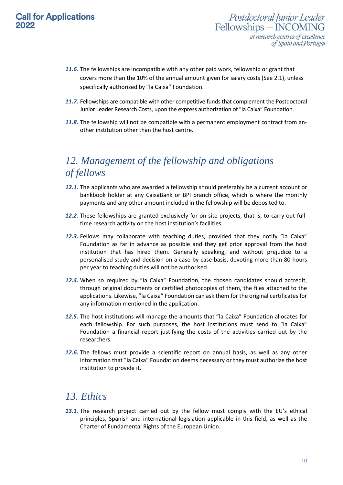- *11.6.* The fellowships are incompatible with any other paid work, fellowship or grant that covers more than the 10% of the annual amount given for salary costs (See 2.1), unless specifically authorized by "la Caixa" Foundation.
- 11.7. Fellowships are compatible with other competitive funds that complement the Postdoctoral Junior Leader Research Costs, upon the express authorization of "la Caixa" Foundation.
- *11.8.* The fellowship will not be compatible with a permanent employment contract from another institution other than the host centre.

# *12. Management of the fellowship and obligations of fellows*

- *12.1.* The applicants who are awarded a fellowship should preferably be a current account or bankbook holder at any CaixaBank or BPI branch office, which is where the monthly payments and any other amount included in the fellowship will be deposited to.
- *12.2.* These fellowships are granted exclusively for on-site projects, that is, to carry out fulltime research activity on the host institution's facilities.
- *12.3.* Fellows may collaborate with teaching duties, provided that they notify "la Caixa" Foundation as far in advance as possible and they get prior approval from the host institution that has hired them. Generally speaking, and without prejudice to a personalised study and decision on a case-by-case basis, devoting more than 80 hours per year to teaching duties will not be authorised.
- *12.4.* When so required by "la Caixa" Foundation, the chosen candidates should accredit, through original documents or certified photocopies of them, the files attached to the applications. Likewise, "la Caixa" Foundation can ask them for the original certificates for any information mentioned in the application.
- *12.5.* The host institutions will manage the amounts that "la Caixa" Foundation allocates for each fellowship. For such purposes, the host institutions must send to "la Caixa" Foundation a financial report justifying the costs of the activities carried out by the researchers.
- *12.6.* The fellows must provide a scientific report on annual basis, as well as any other information that "la Caixa" Foundation deems necessary or they must authorize the host institution to provide it.

### *13. Ethics*

13.1. The research project carried out by the fellow must comply with the EU's ethical principles, Spanish and international legislation applicable in this field, as well as the Charter of Fundamental Rights of the European Union.